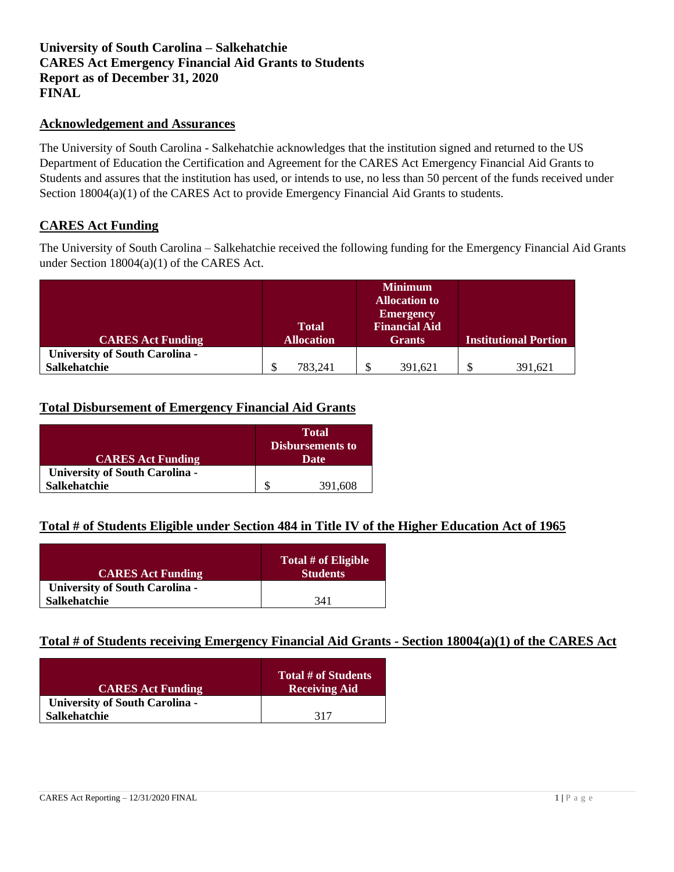# **University of South Carolina – Salkehatchie CARES Act Emergency Financial Aid Grants to Students Report as of December 31, 2020 FINAL**

#### **Acknowledgement and Assurances**

The University of South Carolina - Salkehatchie acknowledges that the institution signed and returned to the US Department of Education the Certification and Agreement for the CARES Act Emergency Financial Aid Grants to Students and assures that the institution has used, or intends to use, no less than 50 percent of the funds received under Section 18004(a)(1) of the CARES Act to provide Emergency Financial Aid Grants to students.

### **CARES Act Funding**

The University of South Carolina – Salkehatchie received the following funding for the Emergency Financial Aid Grants under Section 18004(a)(1) of the CARES Act.

|                                       |                   | <b>Minimum</b>       |                              |
|---------------------------------------|-------------------|----------------------|------------------------------|
|                                       |                   | <b>Allocation to</b> |                              |
|                                       |                   | <b>Emergency</b>     |                              |
|                                       | <b>Total</b>      | <b>Financial Aid</b> |                              |
| <b>CARES Act Funding</b>              | <b>Allocation</b> | <b>Grants</b>        | <b>Institutional Portion</b> |
| <b>University of South Carolina -</b> |                   |                      |                              |
| <b>Salkehatchie</b>                   | 783.241           | \$<br>391,621        | \$<br>391.621                |

# **Total Disbursement of Emergency Financial Aid Grants**

|                                       | <b>Total</b><br><b>Disbursements to</b> |  |
|---------------------------------------|-----------------------------------------|--|
| <b>CARES Act Funding</b>              | Date                                    |  |
| <b>University of South Carolina -</b> |                                         |  |
| <b>Salkehatchie</b>                   | 391,608                                 |  |

### **Total # of Students Eligible under Section 484 in Title IV of the Higher Education Act of 1965**

| <b>CARES Act Funding</b>              | Total # of Eligible<br><b>Students</b> |
|---------------------------------------|----------------------------------------|
| <b>University of South Carolina -</b> |                                        |
| <b>Salkehatchie</b>                   | 341                                    |

### **Total # of Students receiving Emergency Financial Aid Grants - Section 18004(a)(1) of the CARES Act**

| <b>CARES Act Funding</b>              | Total # of Students<br><b>Receiving Aid</b> |
|---------------------------------------|---------------------------------------------|
| <b>University of South Carolina -</b> |                                             |
| <b>Salkehatchie</b>                   | 317                                         |